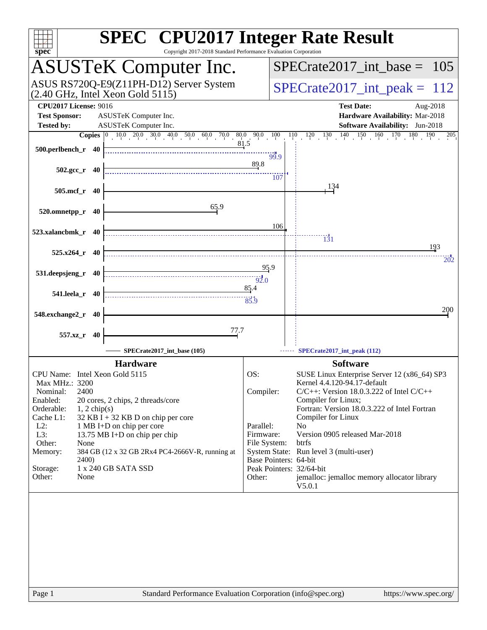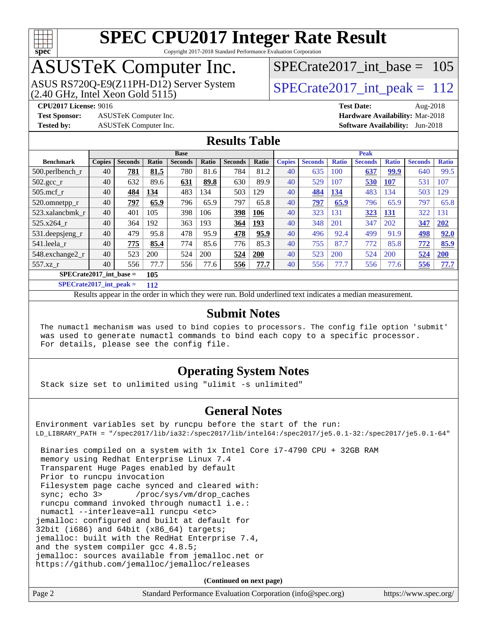

#### **[SPEC CPU2017 Integer Rate Result](http://www.spec.org/auto/cpu2017/Docs/result-fields.html#SPECCPU2017IntegerRateResult)** Copyright 2017-2018 Standard Performance Evaluation Corporation

## ASUSTeK Computer Inc.

ASUS RS720Q-E9(Z11PH-D12) Server System  $(2.40 \text{ GHz}, \text{ Intel Xeon Gold } 5115)$   $\big| \text{ SPECrate} 2017\_int\_peak = 112$ 

[SPECrate2017\\_int\\_base =](http://www.spec.org/auto/cpu2017/Docs/result-fields.html#SPECrate2017intbase) 105

**[Test Sponsor:](http://www.spec.org/auto/cpu2017/Docs/result-fields.html#TestSponsor)** ASUSTeK Computer Inc. **[Hardware Availability:](http://www.spec.org/auto/cpu2017/Docs/result-fields.html#HardwareAvailability)** Mar-2018

**[CPU2017 License:](http://www.spec.org/auto/cpu2017/Docs/result-fields.html#CPU2017License)** 9016 **[Test Date:](http://www.spec.org/auto/cpu2017/Docs/result-fields.html#TestDate)** Aug-2018

**[Tested by:](http://www.spec.org/auto/cpu2017/Docs/result-fields.html#Testedby)** ASUSTeK Computer Inc. **[Software Availability:](http://www.spec.org/auto/cpu2017/Docs/result-fields.html#SoftwareAvailability)** Jun-2018

#### **[Results Table](http://www.spec.org/auto/cpu2017/Docs/result-fields.html#ResultsTable)**

|                           | <b>Base</b>   |                |       |                | <b>Peak</b> |                |       |               |                |              |                |              |                |              |
|---------------------------|---------------|----------------|-------|----------------|-------------|----------------|-------|---------------|----------------|--------------|----------------|--------------|----------------|--------------|
| <b>Benchmark</b>          | <b>Copies</b> | <b>Seconds</b> | Ratio | <b>Seconds</b> | Ratio       | <b>Seconds</b> | Ratio | <b>Copies</b> | <b>Seconds</b> | <b>Ratio</b> | <b>Seconds</b> | <b>Ratio</b> | <b>Seconds</b> | <b>Ratio</b> |
| $500.$ perlbench_r        | 40            | 781            | 81.5  | 780            | 81.6        | 784            | 81.2  | 40            | 635            | 100          | 637            | 99.9         | 640            | 99.5         |
| $502.\text{gcc}_{r}$      | 40            | 632            | 89.6  | 631            | 89.8        | 630            | 89.9  | 40            | 529            | 107          | 530            | 107          | 531            | 107          |
| $505$ .mcf r              | 40            | 484            | 134   | 483            | 134         | 503            | 129   | 40            | 484            | 134          | 483            | 134          | 503            | 129          |
| 520.omnetpp_r             | 40            | 797            | 65.9  | 796            | 65.9        | 797            | 65.8  | 40            | 797            | 65.9         | 796            | 65.9         | 797            | 65.8         |
| 523.xalancbmk r           | 40            | 401            | 105   | 398            | 106         | 398            | 106   | 40            | 323            | 131          | 323            | 131          | 322            | 131          |
| $525.x264$ r              | 40            | 364            | 192   | 363            | 193         | 364            | 193   | 40            | 348            | 201          | 347            | 202          | 347            | 202          |
| 531.deepsjeng_r           | 40            | 479            | 95.8  | 478            | 95.9        | 478            | 95.9  | 40            | 496            | 92.4         | 499            | 91.9         | 498            | 92.0         |
| 541.leela r               | 40            | 775            | 85.4  | 774            | 85.6        | 776            | 85.3  | 40            | 755            | 87.7         | 772            | 85.8         | 772            | 85.9         |
| 548.exchange2_r           | 40            | 523            | 200   | 524            | 200         | 524            | 200   | 40            | 523            | 200          | 524            | 200          | 524            | 200          |
| 557.xz r                  | 40            | 556            | 77.7  | 556            | 77.6        | 556            | 77.7  | 40            | 556            | 77.7         | 556            | 77.6         | 556            | 77.7         |
| $SPECrate2017$ int base = |               |                | 105   |                |             |                |       |               |                |              |                |              |                |              |

**[SPECrate2017\\_int\\_peak =](http://www.spec.org/auto/cpu2017/Docs/result-fields.html#SPECrate2017intpeak) 112**

Results appear in the [order in which they were run.](http://www.spec.org/auto/cpu2017/Docs/result-fields.html#RunOrder) Bold underlined text [indicates a median measurement.](http://www.spec.org/auto/cpu2017/Docs/result-fields.html#Median)

#### **[Submit Notes](http://www.spec.org/auto/cpu2017/Docs/result-fields.html#SubmitNotes)**

 The numactl mechanism was used to bind copies to processors. The config file option 'submit' was used to generate numactl commands to bind each copy to a specific processor. For details, please see the config file.

#### **[Operating System Notes](http://www.spec.org/auto/cpu2017/Docs/result-fields.html#OperatingSystemNotes)**

Stack size set to unlimited using "ulimit -s unlimited"

#### **[General Notes](http://www.spec.org/auto/cpu2017/Docs/result-fields.html#GeneralNotes)**

Environment variables set by runcpu before the start of the run: LD\_LIBRARY\_PATH = "/spec2017/lib/ia32:/spec2017/lib/intel64:/spec2017/je5.0.1-32:/spec2017/je5.0.1-64"

 Binaries compiled on a system with 1x Intel Core i7-4790 CPU + 32GB RAM memory using Redhat Enterprise Linux 7.4 Transparent Huge Pages enabled by default Prior to runcpu invocation Filesystem page cache synced and cleared with: sync; echo 3> /proc/sys/vm/drop\_caches runcpu command invoked through numactl i.e.: numactl --interleave=all runcpu <etc> jemalloc: configured and built at default for 32bit (i686) and 64bit (x86\_64) targets; jemalloc: built with the RedHat Enterprise 7.4, and the system compiler gcc 4.8.5; jemalloc: sources available from jemalloc.net or <https://github.com/jemalloc/jemalloc/releases>

**(Continued on next page)**

| Page 2 | Standard Performance Evaluation Corporation (info@spec.org) | https://www.spec.org/ |
|--------|-------------------------------------------------------------|-----------------------|
|        |                                                             |                       |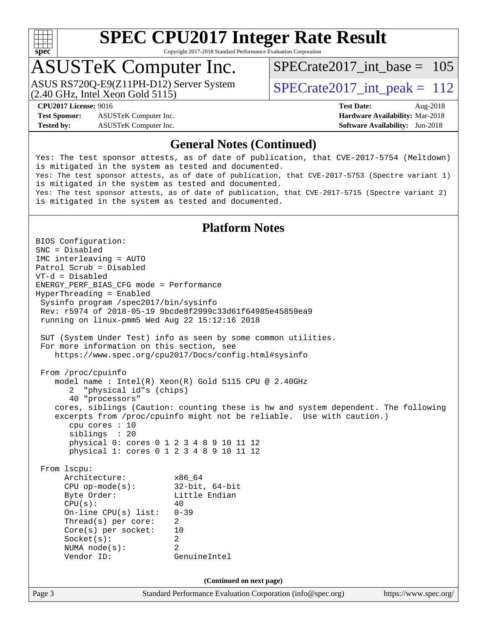

Copyright 2017-2018 Standard Performance Evaluation Corporation

## ASUSTeK Computer Inc.

(2.40 GHz, Intel Xeon Gold 5115) ASUS RS720Q-E9(Z11PH-D12) Server System  $\overline{SPECrate2017\_int\_peak} = 112$ 

[SPECrate2017\\_int\\_base =](http://www.spec.org/auto/cpu2017/Docs/result-fields.html#SPECrate2017intbase) 105

**[Test Sponsor:](http://www.spec.org/auto/cpu2017/Docs/result-fields.html#TestSponsor)** ASUSTeK Computer Inc. **[Hardware Availability:](http://www.spec.org/auto/cpu2017/Docs/result-fields.html#HardwareAvailability)** Mar-2018 **[Tested by:](http://www.spec.org/auto/cpu2017/Docs/result-fields.html#Testedby)** ASUSTeK Computer Inc. **[Software Availability:](http://www.spec.org/auto/cpu2017/Docs/result-fields.html#SoftwareAvailability)** Jun-2018

**[CPU2017 License:](http://www.spec.org/auto/cpu2017/Docs/result-fields.html#CPU2017License)** 9016 **[Test Date:](http://www.spec.org/auto/cpu2017/Docs/result-fields.html#TestDate)** Aug-2018

#### **[General Notes \(Continued\)](http://www.spec.org/auto/cpu2017/Docs/result-fields.html#GeneralNotes)**

Yes: The test sponsor attests, as of date of publication, that CVE-2017-5754 (Meltdown) is mitigated in the system as tested and documented. Yes: The test sponsor attests, as of date of publication, that CVE-2017-5753 (Spectre variant 1) is mitigated in the system as tested and documented. Yes: The test sponsor attests, as of date of publication, that CVE-2017-5715 (Spectre variant 2) is mitigated in the system as tested and documented.

#### **[Platform Notes](http://www.spec.org/auto/cpu2017/Docs/result-fields.html#PlatformNotes)**

Page 3 Standard Performance Evaluation Corporation [\(info@spec.org\)](mailto:info@spec.org) <https://www.spec.org/> BIOS Configuration: SNC = Disabled IMC interleaving = AUTO Patrol Scrub = Disabled VT-d = Disabled ENERGY\_PERF\_BIAS\_CFG mode = Performance HyperThreading = Enabled Sysinfo program /spec2017/bin/sysinfo Rev: r5974 of 2018-05-19 9bcde8f2999c33d61f64985e45859ea9 running on linux-pmm5 Wed Aug 22 15:12:16 2018 SUT (System Under Test) info as seen by some common utilities. For more information on this section, see <https://www.spec.org/cpu2017/Docs/config.html#sysinfo> From /proc/cpuinfo model name : Intel(R) Xeon(R) Gold 5115 CPU @ 2.40GHz 2 "physical id"s (chips) 40 "processors" cores, siblings (Caution: counting these is hw and system dependent. The following excerpts from /proc/cpuinfo might not be reliable. Use with caution.) cpu cores : 10 siblings : 20 physical 0: cores 0 1 2 3 4 8 9 10 11 12 physical 1: cores 0 1 2 3 4 8 9 10 11 12 From lscpu: Architecture: x86\_64 CPU op-mode(s): 32-bit, 64-bit Byte Order: Little Endian  $CPU(s):$  40 On-line CPU(s) list: 0-39 Thread(s) per core: 2 Core(s) per socket: 10 Socket(s): 2 NUMA node(s): 2 Vendor ID: GenuineIntel **(Continued on next page)**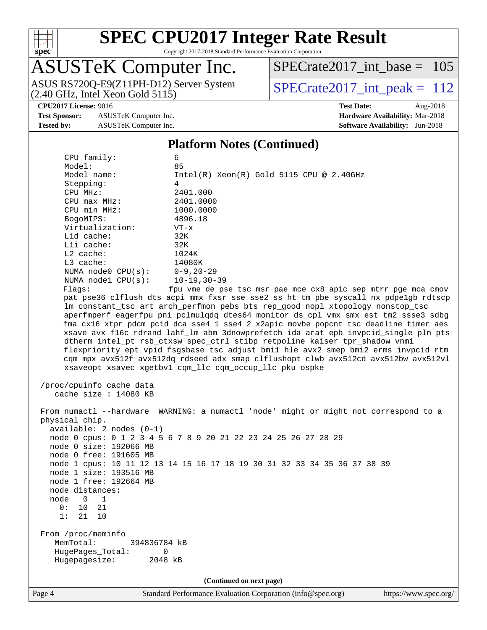

Copyright 2017-2018 Standard Performance Evaluation Corporation

# ASUSTeK Computer Inc.

[SPECrate2017\\_int\\_base =](http://www.spec.org/auto/cpu2017/Docs/result-fields.html#SPECrate2017intbase) 105

ASUS RS720Q-E9(Z11PH-D12) Server System  $(2.40 \text{ GHz}, \text{ Intel Xeon Gold } 5115)$   $\big| \text{ SPECrate} 2017\_int\_peak = 112$ 

**[Test Sponsor:](http://www.spec.org/auto/cpu2017/Docs/result-fields.html#TestSponsor)** ASUSTeK Computer Inc. **[Hardware Availability:](http://www.spec.org/auto/cpu2017/Docs/result-fields.html#HardwareAvailability)** Mar-2018 **[Tested by:](http://www.spec.org/auto/cpu2017/Docs/result-fields.html#Testedby)** ASUSTeK Computer Inc. **[Software Availability:](http://www.spec.org/auto/cpu2017/Docs/result-fields.html#SoftwareAvailability)** Jun-2018

**[CPU2017 License:](http://www.spec.org/auto/cpu2017/Docs/result-fields.html#CPU2017License)** 9016 **[Test Date:](http://www.spec.org/auto/cpu2017/Docs/result-fields.html#TestDate)** Aug-2018

#### **[Platform Notes \(Continued\)](http://www.spec.org/auto/cpu2017/Docs/result-fields.html#PlatformNotes)**

| CPU family:                | 6                                                                                    |
|----------------------------|--------------------------------------------------------------------------------------|
| Model:<br>Model name:      | 85                                                                                   |
|                            | $Intel(R) Xeon(R) Gold 5115 CPU @ 2.40GHz$                                           |
| Stepping:                  | 4<br>2401.000                                                                        |
| CPU MHz:                   |                                                                                      |
| $CPU$ $max$ $MHz$ :        | 2401.0000                                                                            |
| CPU min MHz:               | 1000.0000                                                                            |
| BogoMIPS:                  | 4896.18                                                                              |
| Virtualization:            | $VT - x$                                                                             |
| Lld cache:                 | 32K                                                                                  |
| Lli cache:                 | 32K                                                                                  |
| L2 cache:                  | 1024K                                                                                |
| L3 cache:                  | 14080K                                                                               |
| NUMA $node0$ $CPU(s):$     | $0 - 9$ , $20 - 29$                                                                  |
| NUMA $node1$ $CPU(s):$     | $10 - 19, 30 - 39$                                                                   |
| Flags:                     | fpu vme de pse tsc msr pae mce cx8 apic sep mtrr pge mca cmov                        |
|                            | pat pse36 clflush dts acpi mmx fxsr sse sse2 ss ht tm pbe syscall nx pdpelgb rdtscp  |
|                            | lm constant_tsc art arch_perfmon pebs bts rep_good nopl xtopology nonstop_tsc        |
|                            | aperfmperf eagerfpu pni pclmulqdq dtes64 monitor ds_cpl vmx smx est tm2 ssse3 sdbg   |
|                            | fma cx16 xtpr pdcm pcid dca sse4_1 sse4_2 x2apic movbe popcnt tsc_deadline_timer aes |
|                            | xsave avx f16c rdrand lahf_lm abm 3dnowprefetch ida arat epb invpcid_single pln pts  |
|                            | dtherm intel_pt rsb_ctxsw spec_ctrl stibp retpoline kaiser tpr_shadow vnmi           |
|                            | flexpriority ept vpid fsgsbase tsc_adjust bmil hle avx2 smep bmi2 erms invpcid rtm   |
|                            | cqm mpx avx512f avx512dq rdseed adx smap clflushopt clwb avx512cd avx512bw avx512vl  |
|                            | xsaveopt xsavec xgetbvl cqm_llc cqm_occup_llc pku ospke                              |
| /proc/cpuinfo cache data   |                                                                                      |
| cache size $: 14080$ KB    |                                                                                      |
|                            |                                                                                      |
|                            | From numactl --hardware WARNING: a numactl 'node' might or might not correspond to a |
| physical chip.             |                                                                                      |
| $available: 2 nodes (0-1)$ |                                                                                      |
|                            | node 0 cpus: 0 1 2 3 4 5 6 7 8 9 20 21 22 23 24 25 26 27 28 29                       |
| node 0 size: 192066 MB     |                                                                                      |
| node 0 free: 191605 MB     |                                                                                      |
|                            | node 1 cpus: 10 11 12 13 14 15 16 17 18 19 30 31 32 33 34 35 36 37 38 39             |
| node 1 size: 193516 MB     |                                                                                      |
| node 1 free: 192664 MB     |                                                                                      |
| node distances:            |                                                                                      |
| node<br>1<br>0             |                                                                                      |
| 0 :<br>10 21               |                                                                                      |
| 1:<br>21<br>10             |                                                                                      |
|                            |                                                                                      |
| From /proc/meminfo         |                                                                                      |
| MemTotal:<br>394836784 kB  |                                                                                      |
| HugePages_Total:<br>0      |                                                                                      |
| Hugepagesize:<br>2048 kB   |                                                                                      |
|                            |                                                                                      |
|                            | (Continued on next page)                                                             |
|                            |                                                                                      |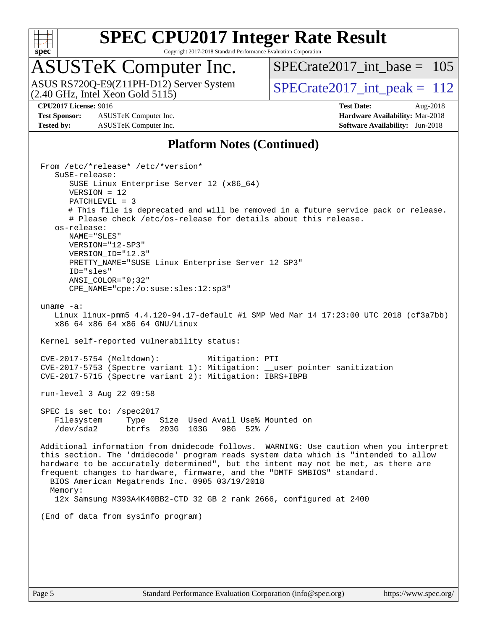

Copyright 2017-2018 Standard Performance Evaluation Corporation

## ASUSTeK Computer Inc.

(2.40 GHz, Intel Xeon Gold 5115) ASUS RS720Q-E9(Z11PH-D12) Server System  $\overline{SPECrate2017\_int\_peak} = 112$ 

[SPECrate2017\\_int\\_base =](http://www.spec.org/auto/cpu2017/Docs/result-fields.html#SPECrate2017intbase) 105

**[Test Sponsor:](http://www.spec.org/auto/cpu2017/Docs/result-fields.html#TestSponsor)** ASUSTeK Computer Inc. **[Hardware Availability:](http://www.spec.org/auto/cpu2017/Docs/result-fields.html#HardwareAvailability)** Mar-2018 **[Tested by:](http://www.spec.org/auto/cpu2017/Docs/result-fields.html#Testedby)** ASUSTeK Computer Inc. **[Software Availability:](http://www.spec.org/auto/cpu2017/Docs/result-fields.html#SoftwareAvailability)** Jun-2018

**[CPU2017 License:](http://www.spec.org/auto/cpu2017/Docs/result-fields.html#CPU2017License)** 9016 **[Test Date:](http://www.spec.org/auto/cpu2017/Docs/result-fields.html#TestDate)** Aug-2018

#### **[Platform Notes \(Continued\)](http://www.spec.org/auto/cpu2017/Docs/result-fields.html#PlatformNotes)**

 From /etc/\*release\* /etc/\*version\* SuSE-release: SUSE Linux Enterprise Server 12 (x86\_64) VERSION = 12 PATCHLEVEL = 3 # This file is deprecated and will be removed in a future service pack or release. # Please check /etc/os-release for details about this release. os-release: NAME="SLES" VERSION="12-SP3" VERSION\_ID="12.3" PRETTY NAME="SUSE Linux Enterprise Server 12 SP3" ID="sles" ANSI\_COLOR="0;32" CPE\_NAME="cpe:/o:suse:sles:12:sp3" uname -a: Linux linux-pmm5 4.4.120-94.17-default #1 SMP Wed Mar 14 17:23:00 UTC 2018 (cf3a7bb) x86\_64 x86\_64 x86\_64 GNU/Linux Kernel self-reported vulnerability status: CVE-2017-5754 (Meltdown): Mitigation: PTI CVE-2017-5753 (Spectre variant 1): Mitigation: \_\_user pointer sanitization CVE-2017-5715 (Spectre variant 2): Mitigation: IBRS+IBPB run-level 3 Aug 22 09:58 SPEC is set to: /spec2017 Filesystem Type Size Used Avail Use% Mounted on /dev/sda2 btrfs 203G 103G 98G 52% / Additional information from dmidecode follows. WARNING: Use caution when you interpret this section. The 'dmidecode' program reads system data which is "intended to allow hardware to be accurately determined", but the intent may not be met, as there are frequent changes to hardware, firmware, and the "DMTF SMBIOS" standard. BIOS American Megatrends Inc. 0905 03/19/2018 Memory: 12x Samsung M393A4K40BB2-CTD 32 GB 2 rank 2666, configured at 2400 (End of data from sysinfo program)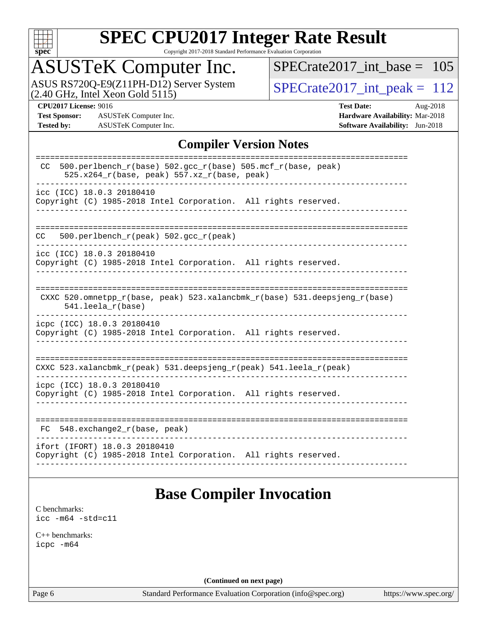

Copyright 2017-2018 Standard Performance Evaluation Corporation

## ASUSTeK Computer Inc.

ASUS RS720Q-E9(Z11PH-D12) Server System  $(2.40 \text{ GHz}, \text{ Intel Xeon Gold } 5115)$   $\big| \text{ SPECrate} 2017\_int\_peak = 112$ 

[SPECrate2017\\_int\\_base =](http://www.spec.org/auto/cpu2017/Docs/result-fields.html#SPECrate2017intbase) 105

**[Test Sponsor:](http://www.spec.org/auto/cpu2017/Docs/result-fields.html#TestSponsor)** ASUSTeK Computer Inc. **[Hardware Availability:](http://www.spec.org/auto/cpu2017/Docs/result-fields.html#HardwareAvailability)** Mar-2018 **[Tested by:](http://www.spec.org/auto/cpu2017/Docs/result-fields.html#Testedby)** ASUSTeK Computer Inc. **[Software Availability:](http://www.spec.org/auto/cpu2017/Docs/result-fields.html#SoftwareAvailability)** Jun-2018

**[CPU2017 License:](http://www.spec.org/auto/cpu2017/Docs/result-fields.html#CPU2017License)** 9016 **[Test Date:](http://www.spec.org/auto/cpu2017/Docs/result-fields.html#TestDate)** Aug-2018

#### **[Compiler Version Notes](http://www.spec.org/auto/cpu2017/Docs/result-fields.html#CompilerVersionNotes)**

| 500.perlbench_r(base) 502.gcc_r(base) 505.mcf_r(base, peak)<br>CC.<br>$525.x264_r(base, peak) 557.xz_r(base, peak)$ |
|---------------------------------------------------------------------------------------------------------------------|
| icc (ICC) 18.0.3 20180410<br>Copyright (C) 1985-2018 Intel Corporation. All rights reserved.                        |
| 500.perlbench_r(peak) 502.gcc_r(peak)<br>CC.                                                                        |
| icc (ICC) 18.0.3 20180410<br>Copyright (C) 1985-2018 Intel Corporation. All rights reserved.                        |
| CXXC 520.omnetpp_r(base, peak) 523.xalancbmk_r(base) 531.deepsjeng_r(base)<br>$541.$ leela_r(base)                  |
| icpc (ICC) 18.0.3 20180410<br>Copyright (C) 1985-2018 Intel Corporation. All rights reserved.                       |
| CXXC 523.xalancbmk_r(peak) 531.deepsjeng_r(peak) 541.leela_r(peak)                                                  |
| icpc (ICC) 18.0.3 20180410<br>Copyright (C) 1985-2018 Intel Corporation. All rights reserved.                       |
| 548.exchange2_r(base, peak)<br>FC.                                                                                  |
| ifort (IFORT) 18.0.3 20180410<br>Copyright (C) 1985-2018 Intel Corporation. All rights reserved.                    |
|                                                                                                                     |

## **[Base Compiler Invocation](http://www.spec.org/auto/cpu2017/Docs/result-fields.html#BaseCompilerInvocation)**

[C benchmarks](http://www.spec.org/auto/cpu2017/Docs/result-fields.html#Cbenchmarks): [icc -m64 -std=c11](http://www.spec.org/cpu2017/results/res2018q4/cpu2017-20180917-08865.flags.html#user_CCbase_intel_icc_64bit_c11_33ee0cdaae7deeeab2a9725423ba97205ce30f63b9926c2519791662299b76a0318f32ddfffdc46587804de3178b4f9328c46fa7c2b0cd779d7a61945c91cd35)

[C++ benchmarks:](http://www.spec.org/auto/cpu2017/Docs/result-fields.html#CXXbenchmarks) [icpc -m64](http://www.spec.org/cpu2017/results/res2018q4/cpu2017-20180917-08865.flags.html#user_CXXbase_intel_icpc_64bit_4ecb2543ae3f1412ef961e0650ca070fec7b7afdcd6ed48761b84423119d1bf6bdf5cad15b44d48e7256388bc77273b966e5eb805aefd121eb22e9299b2ec9d9)

**(Continued on next page)**

Page 6 Standard Performance Evaluation Corporation [\(info@spec.org\)](mailto:info@spec.org) <https://www.spec.org/>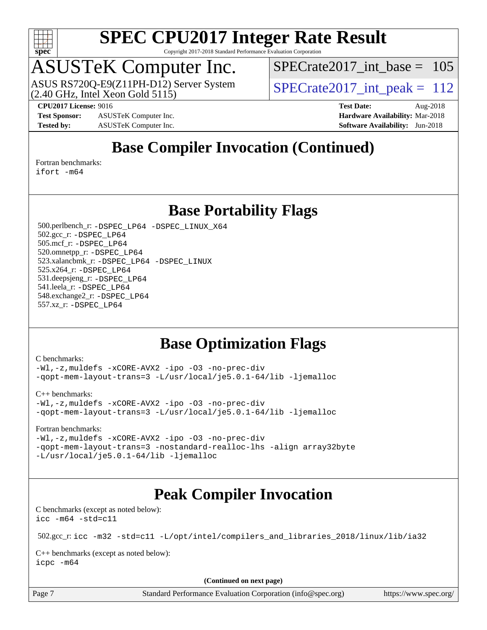

Copyright 2017-2018 Standard Performance Evaluation Corporation

## ASUSTeK Computer Inc.

 $(2.40$  GHz, Intel Xeon Gold  $5115$ ) ASUS RS720Q-E9(Z11PH-D12) Server System  $\sqrt{\text{SPECrate}2017\_int\_peak} = 112$ 

[SPECrate2017\\_int\\_base =](http://www.spec.org/auto/cpu2017/Docs/result-fields.html#SPECrate2017intbase) 105

**[Test Sponsor:](http://www.spec.org/auto/cpu2017/Docs/result-fields.html#TestSponsor)** ASUSTeK Computer Inc. **[Hardware Availability:](http://www.spec.org/auto/cpu2017/Docs/result-fields.html#HardwareAvailability)** Mar-2018 **[Tested by:](http://www.spec.org/auto/cpu2017/Docs/result-fields.html#Testedby)** ASUSTeK Computer Inc. **[Software Availability:](http://www.spec.org/auto/cpu2017/Docs/result-fields.html#SoftwareAvailability)** Jun-2018

**[CPU2017 License:](http://www.spec.org/auto/cpu2017/Docs/result-fields.html#CPU2017License)** 9016 **[Test Date:](http://www.spec.org/auto/cpu2017/Docs/result-fields.html#TestDate)** Aug-2018

**[Base Compiler Invocation \(Continued\)](http://www.spec.org/auto/cpu2017/Docs/result-fields.html#BaseCompilerInvocation)**

[Fortran benchmarks](http://www.spec.org/auto/cpu2017/Docs/result-fields.html#Fortranbenchmarks):

[ifort -m64](http://www.spec.org/cpu2017/results/res2018q4/cpu2017-20180917-08865.flags.html#user_FCbase_intel_ifort_64bit_24f2bb282fbaeffd6157abe4f878425411749daecae9a33200eee2bee2fe76f3b89351d69a8130dd5949958ce389cf37ff59a95e7a40d588e8d3a57e0c3fd751)

**[Base Portability Flags](http://www.spec.org/auto/cpu2017/Docs/result-fields.html#BasePortabilityFlags)**

 500.perlbench\_r: [-DSPEC\\_LP64](http://www.spec.org/cpu2017/results/res2018q4/cpu2017-20180917-08865.flags.html#b500.perlbench_r_basePORTABILITY_DSPEC_LP64) [-DSPEC\\_LINUX\\_X64](http://www.spec.org/cpu2017/results/res2018q4/cpu2017-20180917-08865.flags.html#b500.perlbench_r_baseCPORTABILITY_DSPEC_LINUX_X64) 502.gcc\_r: [-DSPEC\\_LP64](http://www.spec.org/cpu2017/results/res2018q4/cpu2017-20180917-08865.flags.html#suite_basePORTABILITY502_gcc_r_DSPEC_LP64) 505.mcf\_r: [-DSPEC\\_LP64](http://www.spec.org/cpu2017/results/res2018q4/cpu2017-20180917-08865.flags.html#suite_basePORTABILITY505_mcf_r_DSPEC_LP64) 520.omnetpp\_r: [-DSPEC\\_LP64](http://www.spec.org/cpu2017/results/res2018q4/cpu2017-20180917-08865.flags.html#suite_basePORTABILITY520_omnetpp_r_DSPEC_LP64) 523.xalancbmk\_r: [-DSPEC\\_LP64](http://www.spec.org/cpu2017/results/res2018q4/cpu2017-20180917-08865.flags.html#suite_basePORTABILITY523_xalancbmk_r_DSPEC_LP64) [-DSPEC\\_LINUX](http://www.spec.org/cpu2017/results/res2018q4/cpu2017-20180917-08865.flags.html#b523.xalancbmk_r_baseCXXPORTABILITY_DSPEC_LINUX) 525.x264\_r: [-DSPEC\\_LP64](http://www.spec.org/cpu2017/results/res2018q4/cpu2017-20180917-08865.flags.html#suite_basePORTABILITY525_x264_r_DSPEC_LP64) 531.deepsjeng\_r: [-DSPEC\\_LP64](http://www.spec.org/cpu2017/results/res2018q4/cpu2017-20180917-08865.flags.html#suite_basePORTABILITY531_deepsjeng_r_DSPEC_LP64) 541.leela\_r: [-DSPEC\\_LP64](http://www.spec.org/cpu2017/results/res2018q4/cpu2017-20180917-08865.flags.html#suite_basePORTABILITY541_leela_r_DSPEC_LP64) 548.exchange2\_r: [-DSPEC\\_LP64](http://www.spec.org/cpu2017/results/res2018q4/cpu2017-20180917-08865.flags.html#suite_basePORTABILITY548_exchange2_r_DSPEC_LP64) 557.xz\_r: [-DSPEC\\_LP64](http://www.spec.org/cpu2017/results/res2018q4/cpu2017-20180917-08865.flags.html#suite_basePORTABILITY557_xz_r_DSPEC_LP64)

## **[Base Optimization Flags](http://www.spec.org/auto/cpu2017/Docs/result-fields.html#BaseOptimizationFlags)**

[C benchmarks](http://www.spec.org/auto/cpu2017/Docs/result-fields.html#Cbenchmarks):

[-Wl,-z,muldefs](http://www.spec.org/cpu2017/results/res2018q4/cpu2017-20180917-08865.flags.html#user_CCbase_link_force_multiple1_b4cbdb97b34bdee9ceefcfe54f4c8ea74255f0b02a4b23e853cdb0e18eb4525ac79b5a88067c842dd0ee6996c24547a27a4b99331201badda8798ef8a743f577) [-xCORE-AVX2](http://www.spec.org/cpu2017/results/res2018q4/cpu2017-20180917-08865.flags.html#user_CCbase_f-xCORE-AVX2) [-ipo](http://www.spec.org/cpu2017/results/res2018q4/cpu2017-20180917-08865.flags.html#user_CCbase_f-ipo) [-O3](http://www.spec.org/cpu2017/results/res2018q4/cpu2017-20180917-08865.flags.html#user_CCbase_f-O3) [-no-prec-div](http://www.spec.org/cpu2017/results/res2018q4/cpu2017-20180917-08865.flags.html#user_CCbase_f-no-prec-div) [-qopt-mem-layout-trans=3](http://www.spec.org/cpu2017/results/res2018q4/cpu2017-20180917-08865.flags.html#user_CCbase_f-qopt-mem-layout-trans_de80db37974c74b1f0e20d883f0b675c88c3b01e9d123adea9b28688d64333345fb62bc4a798493513fdb68f60282f9a726aa07f478b2f7113531aecce732043) [-L/usr/local/je5.0.1-64/lib](http://www.spec.org/cpu2017/results/res2018q4/cpu2017-20180917-08865.flags.html#user_CCbase_jemalloc_link_path64_4b10a636b7bce113509b17f3bd0d6226c5fb2346b9178c2d0232c14f04ab830f976640479e5c33dc2bcbbdad86ecfb6634cbbd4418746f06f368b512fced5394) [-ljemalloc](http://www.spec.org/cpu2017/results/res2018q4/cpu2017-20180917-08865.flags.html#user_CCbase_jemalloc_link_lib_d1249b907c500fa1c0672f44f562e3d0f79738ae9e3c4a9c376d49f265a04b9c99b167ecedbf6711b3085be911c67ff61f150a17b3472be731631ba4d0471706)

[C++ benchmarks:](http://www.spec.org/auto/cpu2017/Docs/result-fields.html#CXXbenchmarks)

[-Wl,-z,muldefs](http://www.spec.org/cpu2017/results/res2018q4/cpu2017-20180917-08865.flags.html#user_CXXbase_link_force_multiple1_b4cbdb97b34bdee9ceefcfe54f4c8ea74255f0b02a4b23e853cdb0e18eb4525ac79b5a88067c842dd0ee6996c24547a27a4b99331201badda8798ef8a743f577) [-xCORE-AVX2](http://www.spec.org/cpu2017/results/res2018q4/cpu2017-20180917-08865.flags.html#user_CXXbase_f-xCORE-AVX2) [-ipo](http://www.spec.org/cpu2017/results/res2018q4/cpu2017-20180917-08865.flags.html#user_CXXbase_f-ipo) [-O3](http://www.spec.org/cpu2017/results/res2018q4/cpu2017-20180917-08865.flags.html#user_CXXbase_f-O3) [-no-prec-div](http://www.spec.org/cpu2017/results/res2018q4/cpu2017-20180917-08865.flags.html#user_CXXbase_f-no-prec-div) [-qopt-mem-layout-trans=3](http://www.spec.org/cpu2017/results/res2018q4/cpu2017-20180917-08865.flags.html#user_CXXbase_f-qopt-mem-layout-trans_de80db37974c74b1f0e20d883f0b675c88c3b01e9d123adea9b28688d64333345fb62bc4a798493513fdb68f60282f9a726aa07f478b2f7113531aecce732043) [-L/usr/local/je5.0.1-64/lib](http://www.spec.org/cpu2017/results/res2018q4/cpu2017-20180917-08865.flags.html#user_CXXbase_jemalloc_link_path64_4b10a636b7bce113509b17f3bd0d6226c5fb2346b9178c2d0232c14f04ab830f976640479e5c33dc2bcbbdad86ecfb6634cbbd4418746f06f368b512fced5394) [-ljemalloc](http://www.spec.org/cpu2017/results/res2018q4/cpu2017-20180917-08865.flags.html#user_CXXbase_jemalloc_link_lib_d1249b907c500fa1c0672f44f562e3d0f79738ae9e3c4a9c376d49f265a04b9c99b167ecedbf6711b3085be911c67ff61f150a17b3472be731631ba4d0471706)

[Fortran benchmarks](http://www.spec.org/auto/cpu2017/Docs/result-fields.html#Fortranbenchmarks):

[-Wl,-z,muldefs](http://www.spec.org/cpu2017/results/res2018q4/cpu2017-20180917-08865.flags.html#user_FCbase_link_force_multiple1_b4cbdb97b34bdee9ceefcfe54f4c8ea74255f0b02a4b23e853cdb0e18eb4525ac79b5a88067c842dd0ee6996c24547a27a4b99331201badda8798ef8a743f577) [-xCORE-AVX2](http://www.spec.org/cpu2017/results/res2018q4/cpu2017-20180917-08865.flags.html#user_FCbase_f-xCORE-AVX2) [-ipo](http://www.spec.org/cpu2017/results/res2018q4/cpu2017-20180917-08865.flags.html#user_FCbase_f-ipo) [-O3](http://www.spec.org/cpu2017/results/res2018q4/cpu2017-20180917-08865.flags.html#user_FCbase_f-O3) [-no-prec-div](http://www.spec.org/cpu2017/results/res2018q4/cpu2017-20180917-08865.flags.html#user_FCbase_f-no-prec-div) [-qopt-mem-layout-trans=3](http://www.spec.org/cpu2017/results/res2018q4/cpu2017-20180917-08865.flags.html#user_FCbase_f-qopt-mem-layout-trans_de80db37974c74b1f0e20d883f0b675c88c3b01e9d123adea9b28688d64333345fb62bc4a798493513fdb68f60282f9a726aa07f478b2f7113531aecce732043) [-nostandard-realloc-lhs](http://www.spec.org/cpu2017/results/res2018q4/cpu2017-20180917-08865.flags.html#user_FCbase_f_2003_std_realloc_82b4557e90729c0f113870c07e44d33d6f5a304b4f63d4c15d2d0f1fab99f5daaed73bdb9275d9ae411527f28b936061aa8b9c8f2d63842963b95c9dd6426b8a) [-align array32byte](http://www.spec.org/cpu2017/results/res2018q4/cpu2017-20180917-08865.flags.html#user_FCbase_align_array32byte_b982fe038af199962ba9a80c053b8342c548c85b40b8e86eb3cc33dee0d7986a4af373ac2d51c3f7cf710a18d62fdce2948f201cd044323541f22fc0fffc51b6) [-L/usr/local/je5.0.1-64/lib](http://www.spec.org/cpu2017/results/res2018q4/cpu2017-20180917-08865.flags.html#user_FCbase_jemalloc_link_path64_4b10a636b7bce113509b17f3bd0d6226c5fb2346b9178c2d0232c14f04ab830f976640479e5c33dc2bcbbdad86ecfb6634cbbd4418746f06f368b512fced5394) [-ljemalloc](http://www.spec.org/cpu2017/results/res2018q4/cpu2017-20180917-08865.flags.html#user_FCbase_jemalloc_link_lib_d1249b907c500fa1c0672f44f562e3d0f79738ae9e3c4a9c376d49f265a04b9c99b167ecedbf6711b3085be911c67ff61f150a17b3472be731631ba4d0471706)

## **[Peak Compiler Invocation](http://www.spec.org/auto/cpu2017/Docs/result-fields.html#PeakCompilerInvocation)**

[C benchmarks \(except as noted below\)](http://www.spec.org/auto/cpu2017/Docs/result-fields.html#Cbenchmarksexceptasnotedbelow): [icc -m64 -std=c11](http://www.spec.org/cpu2017/results/res2018q4/cpu2017-20180917-08865.flags.html#user_CCpeak_intel_icc_64bit_c11_33ee0cdaae7deeeab2a9725423ba97205ce30f63b9926c2519791662299b76a0318f32ddfffdc46587804de3178b4f9328c46fa7c2b0cd779d7a61945c91cd35)

502.gcc\_r: [icc -m32 -std=c11 -L/opt/intel/compilers\\_and\\_libraries\\_2018/linux/lib/ia32](http://www.spec.org/cpu2017/results/res2018q4/cpu2017-20180917-08865.flags.html#user_peakCCLD502_gcc_r_intel_icc_2aadaa14f62c0e1495cde6f74ba3d875dfbad9f2fd73ceb1e5b66a7d4b19dc13cfe8615ba85624bf35f0c003544b7d55013bf72425d956b559f9a2757f69c910)

[C++ benchmarks \(except as noted below\):](http://www.spec.org/auto/cpu2017/Docs/result-fields.html#CXXbenchmarksexceptasnotedbelow) [icpc -m64](http://www.spec.org/cpu2017/results/res2018q4/cpu2017-20180917-08865.flags.html#user_CXXpeak_intel_icpc_64bit_4ecb2543ae3f1412ef961e0650ca070fec7b7afdcd6ed48761b84423119d1bf6bdf5cad15b44d48e7256388bc77273b966e5eb805aefd121eb22e9299b2ec9d9)

**(Continued on next page)**

| Page |  |
|------|--|
|------|--|

Page 7 Standard Performance Evaluation Corporation [\(info@spec.org\)](mailto:info@spec.org) <https://www.spec.org/>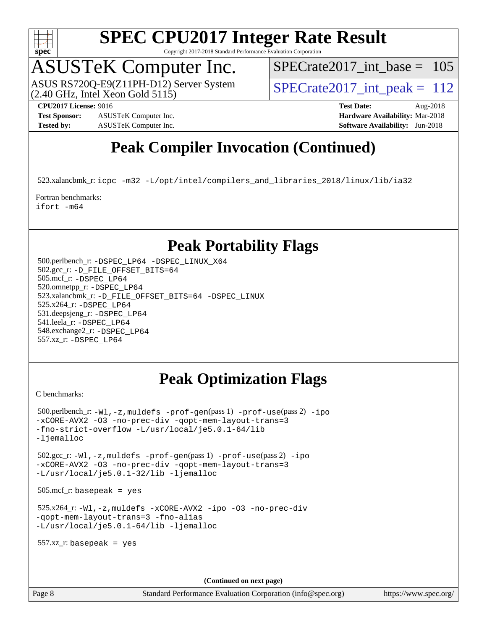

Copyright 2017-2018 Standard Performance Evaluation Corporation

## ASUSTeK Computer Inc.

 $(2.40$  GHz, Intel Xeon Gold  $5115$ ) ASUS RS720Q-E9(Z11PH-D12) Server System  $\overline{SPECrate2017\_int\_peak} = 112$ 

 $SPECrate2017\_int\_base = 105$ 

**[Test Sponsor:](http://www.spec.org/auto/cpu2017/Docs/result-fields.html#TestSponsor)** ASUSTeK Computer Inc. **[Hardware Availability:](http://www.spec.org/auto/cpu2017/Docs/result-fields.html#HardwareAvailability)** Mar-2018

**[CPU2017 License:](http://www.spec.org/auto/cpu2017/Docs/result-fields.html#CPU2017License)** 9016 **[Test Date:](http://www.spec.org/auto/cpu2017/Docs/result-fields.html#TestDate)** Aug-2018

## **[Tested by:](http://www.spec.org/auto/cpu2017/Docs/result-fields.html#Testedby)** ASUSTeK Computer Inc. **[Software Availability:](http://www.spec.org/auto/cpu2017/Docs/result-fields.html#SoftwareAvailability)** Jun-2018

## **[Peak Compiler Invocation \(Continued\)](http://www.spec.org/auto/cpu2017/Docs/result-fields.html#PeakCompilerInvocation)**

523.xalancbmk\_r: [icpc -m32 -L/opt/intel/compilers\\_and\\_libraries\\_2018/linux/lib/ia32](http://www.spec.org/cpu2017/results/res2018q4/cpu2017-20180917-08865.flags.html#user_peakCXXLD523_xalancbmk_r_intel_icpc_49b8c4a2e52517df5e44233d8730ac3dfca5acbb5ef11df3347e50260a55109134bcb7fd2e543798dfd93e66566a4e08776ad3f7d40a4ff4276870c090f61f0e)

[Fortran benchmarks](http://www.spec.org/auto/cpu2017/Docs/result-fields.html#Fortranbenchmarks): [ifort -m64](http://www.spec.org/cpu2017/results/res2018q4/cpu2017-20180917-08865.flags.html#user_FCpeak_intel_ifort_64bit_24f2bb282fbaeffd6157abe4f878425411749daecae9a33200eee2bee2fe76f3b89351d69a8130dd5949958ce389cf37ff59a95e7a40d588e8d3a57e0c3fd751)

#### **[Peak Portability Flags](http://www.spec.org/auto/cpu2017/Docs/result-fields.html#PeakPortabilityFlags)**

 500.perlbench\_r: [-DSPEC\\_LP64](http://www.spec.org/cpu2017/results/res2018q4/cpu2017-20180917-08865.flags.html#b500.perlbench_r_peakPORTABILITY_DSPEC_LP64) [-DSPEC\\_LINUX\\_X64](http://www.spec.org/cpu2017/results/res2018q4/cpu2017-20180917-08865.flags.html#b500.perlbench_r_peakCPORTABILITY_DSPEC_LINUX_X64) 502.gcc\_r: [-D\\_FILE\\_OFFSET\\_BITS=64](http://www.spec.org/cpu2017/results/res2018q4/cpu2017-20180917-08865.flags.html#user_peakPORTABILITY502_gcc_r_file_offset_bits_64_5ae949a99b284ddf4e95728d47cb0843d81b2eb0e18bdfe74bbf0f61d0b064f4bda2f10ea5eb90e1dcab0e84dbc592acfc5018bc955c18609f94ddb8d550002c) 505.mcf\_r: [-DSPEC\\_LP64](http://www.spec.org/cpu2017/results/res2018q4/cpu2017-20180917-08865.flags.html#suite_peakPORTABILITY505_mcf_r_DSPEC_LP64) 520.omnetpp\_r: [-DSPEC\\_LP64](http://www.spec.org/cpu2017/results/res2018q4/cpu2017-20180917-08865.flags.html#suite_peakPORTABILITY520_omnetpp_r_DSPEC_LP64) 523.xalancbmk\_r: [-D\\_FILE\\_OFFSET\\_BITS=64](http://www.spec.org/cpu2017/results/res2018q4/cpu2017-20180917-08865.flags.html#user_peakPORTABILITY523_xalancbmk_r_file_offset_bits_64_5ae949a99b284ddf4e95728d47cb0843d81b2eb0e18bdfe74bbf0f61d0b064f4bda2f10ea5eb90e1dcab0e84dbc592acfc5018bc955c18609f94ddb8d550002c) [-DSPEC\\_LINUX](http://www.spec.org/cpu2017/results/res2018q4/cpu2017-20180917-08865.flags.html#b523.xalancbmk_r_peakCXXPORTABILITY_DSPEC_LINUX) 525.x264\_r: [-DSPEC\\_LP64](http://www.spec.org/cpu2017/results/res2018q4/cpu2017-20180917-08865.flags.html#suite_peakPORTABILITY525_x264_r_DSPEC_LP64) 531.deepsjeng\_r: [-DSPEC\\_LP64](http://www.spec.org/cpu2017/results/res2018q4/cpu2017-20180917-08865.flags.html#suite_peakPORTABILITY531_deepsjeng_r_DSPEC_LP64) 541.leela\_r: [-DSPEC\\_LP64](http://www.spec.org/cpu2017/results/res2018q4/cpu2017-20180917-08865.flags.html#suite_peakPORTABILITY541_leela_r_DSPEC_LP64) 548.exchange2\_r: [-DSPEC\\_LP64](http://www.spec.org/cpu2017/results/res2018q4/cpu2017-20180917-08865.flags.html#suite_peakPORTABILITY548_exchange2_r_DSPEC_LP64) 557.xz\_r: [-DSPEC\\_LP64](http://www.spec.org/cpu2017/results/res2018q4/cpu2017-20180917-08865.flags.html#suite_peakPORTABILITY557_xz_r_DSPEC_LP64)

## **[Peak Optimization Flags](http://www.spec.org/auto/cpu2017/Docs/result-fields.html#PeakOptimizationFlags)**

[C benchmarks](http://www.spec.org/auto/cpu2017/Docs/result-fields.html#Cbenchmarks):

```
 500.perlbench_r: -Wl,-z,muldefs -prof-gen(pass 1) -prof-use(pass 2) -ipo
-xCORE-AVX2 -O3 -no-prec-div -qopt-mem-layout-trans=3
-fno-strict-overflow -L/usr/local/je5.0.1-64/lib
-ljemalloc
 502.gcc_r: -Wl,-z,muldefs -prof-gen(pass 1) -prof-use(pass 2) -ipo
-xCORE-AVX2 -O3 -no-prec-div -qopt-mem-layout-trans=3
-L/usr/local/je5.0.1-32/lib -ljemalloc
 505.mcf_r: basepeak = yes
 525.x264_r: -Wl,-z,muldefs -xCORE-AVX2 -ipo -O3 -no-prec-div
-qopt-mem-layout-trans=3 -fno-alias
-L/usr/local/je5.0.1-64/lib -ljemalloc
 557.xz_r: basepeak = yes
```